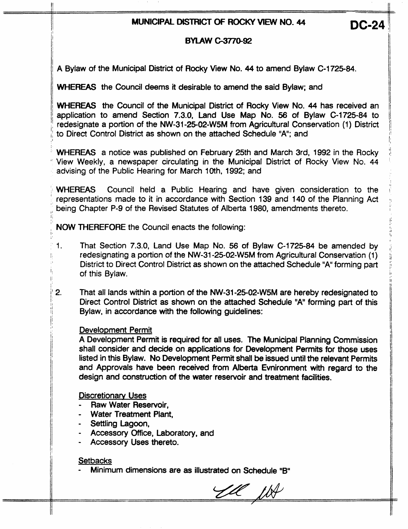# **MUNICIPAL DISTRICT OF ROCKY VIEW NO. 44 DC-24**

## **BYLAW** *mo-92*

1 A Bylaw of the Municipal District of Rocky View No. 44 to amend Bylaw C-1725-84.

WHEREAS the Council deems it desirable to amend the said Bylaw; and<br>' WHEREAS the Council of the Municipal District of Rocky View No. 44 has received an application to amend Section **7.3.0,** Land Use Map No. *56* of Bylaw C-1725-84 to to Direct Control District as shown on the attached Schedule "A"; and

WHEREAS a notice was published on February 25th and March 3rd, 1992 in the Rocky *<sup>i</sup>*View Weekly, a newspaper circulating in the Municipal District of Rocky View **No.** 44 advising of the Public Hearing for March 10th, 1992; and

WHEREAS Council held a Public Hearing and have given consideration to the ' representations made to it in accordance with Section 139 and 140 of the Planning Act being Chapter P-9 of the Revised Statutes of Alberta 1980, amendments thereto.

: NOW THEREFORE the Council enacts the following:

- $\mathbf{1}$ . That Section 7.3.0, Land Use Map No. 56 of Bylaw C-1725-84 be amended by redesignating a portion of the NW-31-25-02-W5M from Agricultural Conservation (1 ) District to Direct Control District as shown on the attached Schedule "A" forming part of this Bylaw.
- $2.$ That all lands within a portion of the NW-31-25-02-W5M are hereby redesignated to Direct Control District as shown on the attached Schedule "A" forming part of this Bylaw, in accordance with the following guidelines:

#### Development Permit

I

ı,

A Development Permit is required for **all** uses. The Municipal Planning Commission shall consider and decide on applications for Development Permits for those uses listed in this Bylaw. **No** Development Permit shall **be** issued until the relevant Permits and Approvals have been received from Alberta Evnironment with regard to the design and construction of the water reservoir and treatment facilities.

**Discretionary Uses** 

- Raw Water Reservoir,
- Water Treatment Plant,
- Settling Lagoon,
- Accessory *office,* Laboratory, and
- Accessory Uses thereto.

## **Setbacks**

Minimum dimensions are as illustrated on Schedule "B"

YU WA

--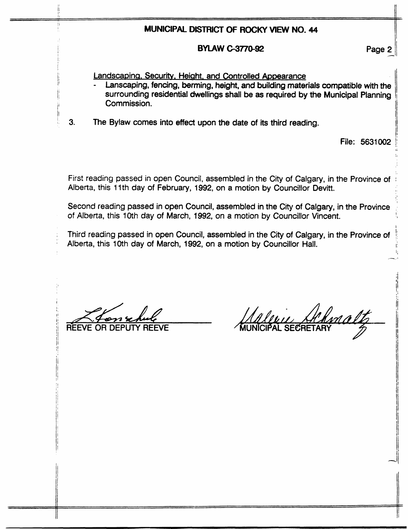## MUNICIPAL DISTRICT OF ROCKY VIEW NO. 44

#### **BYLAW C-3770-92**

Page 2

Landscaping, Security, Height, and Controlled Appearance

- Lanscaping, fencing, berming, height, and building materials compatible with the surrounding residential dwellings shall be as required by the Municipal Planning Commission.
- $3.$ The Bylaw comes into effect upon the date of its third reading.

File: 5631002

First reading passed in open Council, assembled in the City of Calgary, in the Province of Alberta, this 11th day of February, 1992, on a motion by Councillor Devitt.

Second reading passed in open Council, assembled in the City of Calgary, in the Province of Alberta, this 10th day of March, 1992, on a motion by Councillor Vincent.

Third reading passed in open Council, assembled in the City of Calgary, in the Province of Alberta, this 10th day of March, 1992, on a motion by Councillor Hall.

Inalt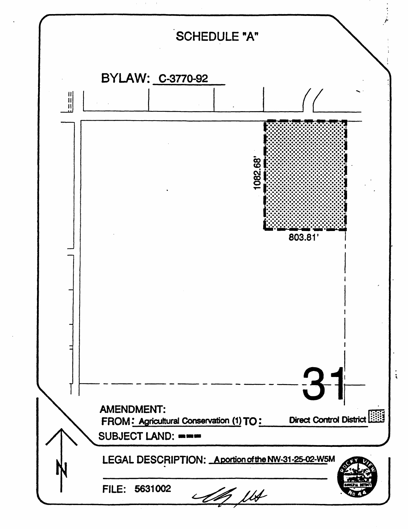